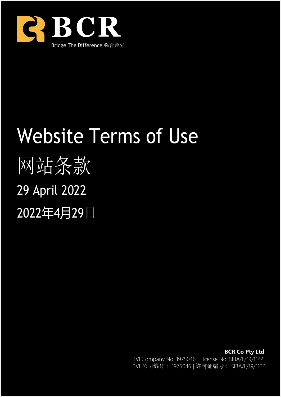

# Website Terms of Use 网站条款 29 April 2022 2022年4月29日

**BCR Co Pty Ltd** BVI Company No. 1975046 | License No. SIBA/L/19/1122 BVI 公司编号: 1975046 | 许可证编号: SIBA/L/19/1122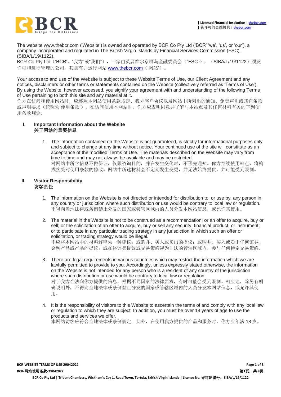

The website www.thebcr.com ('Website') is owned and operated by BCR Co Pty Ltd ('BCR' 'we', 'us', or 'our'), a company incorporated and regulated in The British Virgin Islands by Financial Services Commission (FSC), (SIBA/L/19/1122).

BCR Co Pty Ltd('BCR'、"我方"或"我们"),一家由英属维尔京群岛金融委员会("FSC"), (SIBA/L/19/1122)颁发 许可和进行管理的公司, 其拥有并运行网站 [www.thebcr.com](http://www.thebcr.com/) ('网站')。

Your access to and use of the Website is subject to these Website Terms of Use, our Client Agreement and any notices, disclaimers or other terms or statements contained on the Website (collectively referred as 'Terms of Use'). By using the Website, however accessed, you signify your agreement with and understanding of the following Terms of Use pertaining to both this site and any material at it.

你方在访问和使用网站时,应遵照本网站使用条款规定、我方客户协议以及网站中所列出的通知、免责声明或其它条款 或声明要求(统称为'使用条款')。在访问使用本网站时,你方应表明同意并了解与本站点及其任何材料有关的下列使 用条款规定。

#### **I. Important Information about the Website** 关于网站的重要信息

1. The information contained on the Website is not guaranteed, is strictly for informational purposes only and subject to change at any time without notice. Your continued use of the site will constitute as an acceptance of the modified Terms of Use. The materials described on the Website may vary from time to time and may not always be available and may be restricted.

对网站中所含信息不做保证,仅限咨询目的,并在发生变化时,不预先通知。你方继续使用站点,将构 成接受对使用条款的修改。网站中所述材料会不定期发生变更,并无法始终提供,并可能受到限制。

#### **II. Visitor Responsibility** 访客责任

- 1. The information on the Website is not directed or intended for distribution to, or use by, any person in any country or jurisdiction where such distribution or use would be contrary to local law or regulation. 不得向当地法律或条例禁止分发的国家或管辖区域内的人员分发本网站信息,或允许其使用。
- 2. The material in the Website is not to be construed as a recommendation; or an offer to acquire, buy or sell; or the solicitation of an offer to acquire, buy or sell any security, financial product, or instrument; or to participate in any particular trading strategy in any jurisdiction in which such an offer or solicitation, or trading strategy would be illegal. 不应将本网站中的材料解释为一种建议;或购并、买入或卖出的提议;或购并、买入或卖出任何证券、 金融产品或产品的提议;或在将该类提议或交易策略视为非法的管辖区域内,参与任何特定交易策略。
- 3. There are legal requirements in various countries which may restrict the information which we are lawfully permitted to provide to you. Accordingly, unless expressly stated otherwise, the information on the Website is not intended for any person who is a resident of any country of the jurisdiction where such distribution or use would be contrary to local law or regulation. 对于我方合法向你方提供的信息,根据不同国家的法律要求,有时可能会受到限制。相应地,除另有明 确说明外,不得向当地法律或条例禁止分发的国家或管辖区域内的人员分发本网站信息,或允许其使 用。
- 4. It is the responsibility of visitors to this Website to ascertain the terms of and comply with any local law or regulation to which they are subject. In addition, you must be over 18 years of age to use the products and services we offer. 本网站访客应符合当地法律或条例规定。此外,在使用我方提供的产品和服务时,你方应年满18岁。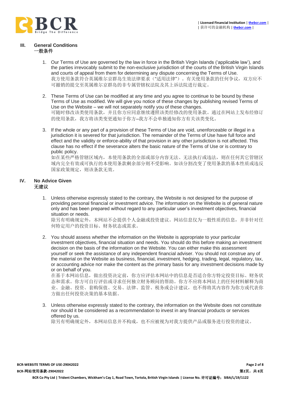

#### **III. General Conditions** 一般条件

- 1. Our Terms of Use are governed by the law in force in the British Virgin Islands ('applicable law'), and the parties irrevocably submit to the non-exclusive jurisdiction of the courts of the British Virgin Islands and courts of appeal from them for determining any dispute concerning the Terms of Use. 我方使用条款符合英属维尔京群岛生效法律要求("适用法律")。有关使用条款的任何争议,双方应不 可撤销的提交至英属维尔京群岛的非专属管辖权法院及其上诉法院进行裁定。
- 2. These Terms of Use can be modified at any time and you agree to continue to be bound by these Terms of Use as modified. We will give you notice of these changes by publishing revised Terms of Use on the Website – we will not separately notify you of these changes. 可随时修改该类使用条款,并且你方应同意继续遵照该类经修改的使用条款。通过在网站上发布经修订 的使用条款,我方将该类变更通知于你方–我方不会单独通知你方有关该类变化。
- 3. If the whole or any part of a provision of these Terms of Use are void, unenforceable or illegal in a jurisdiction it is severed for that jurisdiction. The remainder of the Terms of Use have full force and effect and the validity or enforce-ability of that provision in any other jurisdiction is not affected. This clause has no effect if the severance alters the basic nature of the Terms of Use or is contrary to public policy.

如在某些严格管辖区域内,本使用条款的全部或部分内容无法、无法执行或违法,则在任何其它管辖区 域内完全有效或可执行的本使用条款剩余部分则不受影响。如该分割改变了使用条款的基本性质或违反 国家政策规定,则该条款无效。

#### **IV. No Advice Given** 无建议

1. Unless otherwise expressly stated to the contrary, the Website is not designed for the purpose of providing personal financial or investment advice. The information on the Website is of general nature only and has been prepared without regard to any particular user's investment objectives, financial situation or needs.

除另有明确规定外,本网站不会提供个人金融或投资建议。网站信息仅为一般性质的信息,并非针对任 何特定用户的投资目标、财务状态或需求。

2. You should assess whether the information on the Website is appropriate to your particular investment objectives, financial situation and needs. You should do this before making an investment decision on the basis of the information on the Website. You can either make this assessment yourself or seek the assistance of any independent financial adviser. You should not construe any of the material on the Website as business, financial, investment, hedging, trading, legal, regulatory, tax, or accounting advice nor make the content as the primary basis for any investment decisions made by or on behalf of you.

在基于本网站信息,做出投资决定前,你方应评估本网站中的信息是否适合你方特定投资目标、财务状 态和需求。你方可自行评估或寻求任何独立财务顾问的帮助。你方不应将本网站上的任何材料解释为商 业、金融、投资、套购保值、交易、法律、监管、税务或会计建议,也不得将其内容作为你方或代表你 方做出任何投资决策的基本依据。

3. Unless otherwise expressly stated to the contrary, the information on the Website does not constitute nor should it be considered as a recommendation to invest in any financial products or services offered by us.

除另有明确规定外,本网站信息并不构成,也不应被视为对我方提供产品或服务进行投资的建议。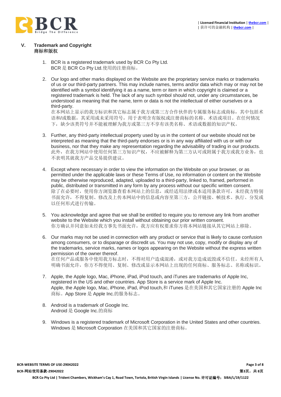

#### **V. Trademark and Copyright** 商标和版权

- 1. BCR is a registered trademark used by BCR Co Pty Ltd. BCR 是 BCR Co Pty Ltd.使用的注册商标。
- 2. Our logo and other marks displayed on the Website are the proprietary service marks or trademarks of us or our third-party partners. This may include names, terms and/or data which may or may not be identified with a symbol identifying it as a name, term or item in which copyright is claimed or a registered trademark is held. The lack of any such symbol should not, under any circumstances, be understood as meaning that the name, term or data is not the intellectual of either ourselves or a third-party.

在本网站上显示的我方标识和其它标志属于我方或第三方合作伙伴的专属服务标志或商标,其中包括术 语和/或数据,其采用或未采用符号,用于表明含有版权或注册商标的名称、术语或项目。在任何情况 下,缺少该类符号并不能被理解为我方或第三方不享有该类名称、术语或数据的知识产权。

- 3. Further, any third-party intellectual property used by us in the content of our website should not be interpreted as meaning that the third-party endorses or is in any way affiliated with us or with our business, nor that they make any representation regarding the advisability of trading in our products. 此外, 在我方网站中使用任何第三方知识产权, 不应被解释为第三方认可或附属于我方或我方业务, 也 不表明其就我方产品交易提供建议。
- 4. Except where necessary in order to view the information on the Website on your browser, or as permitted under the applicable laws or these Terms of Use, no information or content on the Website may be otherwise reproduced, adapted, uploaded to a third-party, linked to, framed, performed in public, distributed or transmitted in any form by any process without our specific written consent. 除了在必要时, 使用你方浏览器查看本网站上的信息, 或经适用法律或本适用条款许可, 未经我方特别 书面允许,不得复制、修改及上传本网站中的信息或内容至第三方,公开链接、帧技术、执行、分发或 以任何形式进行传输。
- 5. You acknowledge and agree that we shall be entitled to require you to remove any link from another website to the Website which you install without obtaining our prior written consent. 你方确认并同意如未经我方事先书面允许,我方应有权要求你方将本网站链接从其它网站上移除。
- 6. Our marks may not be used in connection with any product or service that is likely to cause confusion among consumers, or to disparage or discredit us. You may not use, copy, modify or display any of the trademarks, service marks, names or logos appearing on the Website without the express written permission of the owner thereof. 在任何产品或服务中使用我方标志时,不得对用户造成混淆,或对我方造成诋毁或不信任。未经所有人 明确书面允许,你方不得使用、复制、修改或显示本网站上出现的任何商标、服务标志、名称或标识。
- 7. Apple, the Apple logo, Mac, iPhone, iPad, iPod touch, and iTunes are trademarks of Apple Inc, registered in the US and other countries. App Store is a service mark of Apple Inc. Apple, the Apple logo, Mac, iPhone, iPad, iPod touch,和 iTunes 是在美国和其它国家注册的 Apple Inc 商标。App Store 是 Apple Inc.的服务标志。
- 8. Android is a trademark of Google Inc. Android 是 Google Inc.的商标
- 9. Windows is a registered trademark of Microsoft Corporation in the United States and other countries. Windows 是 Microsoft Corporation 在美国和其它国家的注册商标。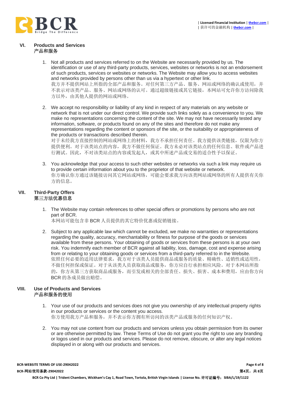

#### **VI. Products and Services** 产品和服务

- 1. Not all products and services referred to on the Website are necessarily provided by us. The identification or use of any third-party products, services, websites or networks is not an endorsement of such products, services or websites or networks. The Website may allow you to access websites and networks provided by persons other than us via a hypertext or other link. 我方并不提供网站上所指的全部产品和服务。对任何第三方产品、服务、网站或网络的确认或使用,并 不表示对该类产品、服务、网站或网络的认可。通过超级链接或其它链接,本网站可允许你方访问除我 方以外,由其他人提供的网站或网络。
- 2. We accept no responsibility or liability of any kind in respect of any materials on any website or network that is not under our direct control. We provide such links solely as a convenience to you. We make no representations concerning the content of the site. We may not have necessarily tested any information, software, or products found on any of the sites and therefore do not make any representations regarding the content or sponsors of the site, or the suitability or appropriateness of the products or transactions described therein.

对于未经我方直接控制的网站或网络上的材料,我方不承担任何责任。我方提供该类链接,仅限为你方 提供便利。对于该类站点的内容,我方不做任何保证。我方未必对该类站点的任何信息、软件或产品进 行测试。因此,不对该类站点的内容或发起人,或其中所述产品或交易的适合性予以保证。

3. You acknowledge that your access to such other websites or networks via such a link may require us to provide certain information about you to the proprietor of that website or network. 你方确认你方通过该链接访问其它网站或网络,可能会要求我方向该类网站或网络的所有人提供有关你 方的信息。

# **VII. Third-Party Offers** 第三方法优惠信息

1. The Website may contain references to other special offers or promotions by persons who are not part of BCR.

本网站可能包含非 BCR 人员提供的其它特价优惠或促销链接。

2. Subject to any applicable law which cannot be excluded, we make no warranties or representations regarding the quality, accuracy, merchantability or fitness for purpose of the goods or services available from these persons. Your obtaining of goods or services from these persons is at your own risk. You indemnify each member of BCR against all liability, loss, damage, cost and expense arising from or relating to your obtaining goods or services from a third-party referred to in the Website. 依照任何必要的适用法律要求,我方对于该类人员提供商品或服务的质量、精确性、适销性或适用性, 不做任何担保或保证。对于从该类人员获取商品或服务,你方应自行承担相应风险。对于本网站所指 的,你方从第三方获取商品或服务,而引发或相关的全部责任、损失、损害、成本和费用,应由你方向 BCR 的各成员做出赔偿。

#### **VIII. Use of Products and Services** 产品和服务的使用

- 1. Your use of our products and services does not give you ownership of any intellectual property rights in our products or services or the content you access. 你方使用我方产品和服务,并不表示你方拥有所访问的该类产品或服务的任何知识产权。
- 2. You may not use content from our products and services unless you obtain permission from its owner or are otherwise permitted by law. These Terms of Use do not grant you the right to use any branding or logos used in our products and services. Please do not remove, obscure, or alter any legal notices displayed in or along with our products and services.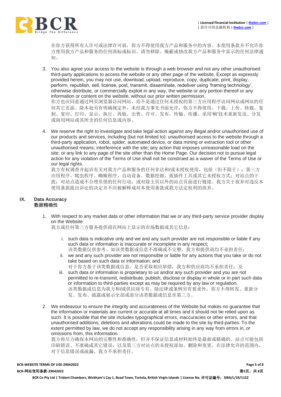

在你方获得所有人许可或法律许可前,你方不得使用我方产品和服务中的内容。本使用条款并不允许你 方使用我方产品和服务的任何商标或标识。请勿移除、掩蔽或修改我方产品和服务中显示的任何法律通 知。

- 3. You also agree your access to the website is through a web browser and not any other unauthorised third-party applications to access the website or any other page of the website. Except as expressly provided herein, you may not use, download, upload, reproduce, copy, duplicate, print, display, perform, republish, sell, license, post, transmit, disseminate, redeliver using 'framing technology', otherwise distribute, or commercially exploit in any way, the website or any portion thereof or any information or content on the website, without our prior written permission. 你方也应同意通过网页浏览器访问网站,而不是通过任何未授权的第三方应用程序访问网站或网站的任 何其它页面。除本处另有明确规定外,未经我方事先书面允许,你方不得使用、下载、上传、转载、复 制、复印、打印、显示、执行、再版、出售、许可、发布、传输、传播、采用'帧'技术重新发送、分发 或商用网站或其所含的任何信息或内容。
- 4. We reserve the right to investigate and take legal action against any illegal and/or unauthorised use of our products and services, including (but not limited to): unauthorised access to the website through a third-party application, robot, spider, automated device, or data mining or extraction tool or other unauthorised means; interference with the site; any action that imposes unreasonable load on the site; or any link to any page of the site other than the Home Page. Our decision not to pursue legal action for any violation of the Terms of Use shall not be construed as a waiver of the Terms of Use or our legal rights.

我方有权调查并起诉有关对我方产品和服务的任何非法和/或未授权使用,包括(但不限于):第三方 应用程序、爬虫程序、蜘蛛程序、自动设备、数据挖掘、拔插件工具或其它未授权方式;对站点的干 扰;对站点造成不合理负债的任何行动;或对除主页以外的站点页面进行链接。我方关于放弃对违反本 使用条款提出诉讼的决定并不应被解释成对本使用条款或我方法定权利的放弃。

#### **IX. Data Accuracy** 数据精确性

1. With respect to any market data or other information that we or any third-party service provider display on the Website:

我方或任何第三方服务提供商在网站上显示的市场数据或其它信息:

- i. such data is indicative only and we and any such provider are not responsible or liable if any such data or information is inaccurate or incomplete in any respect; 该类数据仅供参考。如该类数据或信息不准确或不完整,我方和提供商均不承担责任;
- ii. we and any such provider are not responsible or liable for any actions that you take or do not take based on such data or information; and 对于你方基于该类数据或信息,是否采取相应举措,我方和供应商均不承担责任;及
- iii. such data or information is proprietary to us and/or any such provider and you are not permitted to re-transmit, redistribute, publish, disclose or display in whole or in part such data or information to third-parties except as may be required by any law or regulation. 该类数据或信息为我方和/或供应商专有。除法律或条例另有要求外,你方不得转发、重新分 发、发布、披露或展示全部或部分该类数据或信息至第三方。
- 2. We endeavour to ensure the integrity and accurateness of the Website but makes no guarantee that the information or materials are current or accurate at all times and it should not be relied upon as such. It is possible that the site includes typographical errors, inaccuracies or other errors, and that unauthorised additions, deletions and alterations could be made to the site by third-parties. To the extent permitted by law, we do not accept any responsibility arising in any way from errors in, or omissions from, this information.

我方将尽力确保本网站的完整性和准确性,但并不保证信息或材料始终是最新或精确的。站点可能包括 印刷错误、不准确或其它错误,以及第三方对站点的未授权添加、删除和变更。在法律允许的范围内, 对于信息错误或疏漏,我方不承担责任。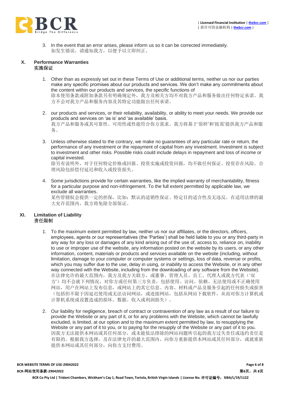

3. In the event that an error arises, please inform us so it can be corrected immediately. 如发生错误,请通知我方,以便予以立即纠正。

#### **X. Performance Warranties** 实施保证

- 1. Other than as expressly set out in these Terms of Use or additional terms, neither us nor our parties make any specific promises about our products and services. We don't make any commitments about the content within our products and services, the specific functions of 除本使用条款或附加条款另有明确规定外,我方及相关方均不对我方产品和服务做出任何特定承诺。我 方不会对我方产品和服务内容及其特定功能做出任何承诺。
- 2. our products and services, or their reliability, availability, or ability to meet your needs. We provide our products and services on 'as is' and 'as available' basis. 我方产品和服务或其可靠性、可用性或性能符合你方需求。我方将基于'原样'和'按需'提供我方产品和服 务。
- 3. Unless otherwise stated to the contrary, we make no guarantees of any particular rate or return, the performance of any investment or the repayment of capital from any investment. Investment is subject to investment and other risks. Possible risks could include delays in repayment and loss of income or capital invested.

除另有说明外,对于任何特定价格或回报、投资实施或投资回报,均不做任何保证。投资存在风险。合 理风险包括偿付延迟和收入或投资损失。

4. Some jurisdictions provide for certain warranties, like the implied warranty of merchantability, fitness for a particular purpose and non-infringement. To the full extent permitted by applicable law, we exclude all warranties.

某些管辖权会提供一定的担保,比如:默认的适销性保证、特定目的适合性及无违反。在适用法律的最 大允许范围内,我方将免除全部保证。

#### **XI. Limitation of Liability** 责任限制

- 1. To the maximum extent permitted by law, neither us nor our affiliates, or the directors, officers, employees, agents or our representatives (the 'Parties') shall be held liable to you or any third-party in any way for any loss or damages of any kind arising out of the use of, access to, reliance on, inability to use or improper use of the website, any information posted on the website by its users, or any other information, content, materials or products and services available on the website (including, without limitation, damage to your computer or computer systems or settings, loss of data, revenue or profits, which you may suffer due to the use, delay in using, or inability to access the Website, or in any other way connected with the Website, including from the downloading of any software from the Website). 在法律允许的最大范围内,我方及我方关联方,或董事、管理人员、员工、代理人或我方代表('双 方')均不会就下列情况,对你方或任何第三方负责,包括使用、访问、依赖、无法使用或不正确使用 网站,用户在网站上发布信息,或网站上的其它信息、内容、材料或产品及服务引起的任何损失或损害 (包括但不限于因延迟使用或无法访问网站,或连接网站,包括从网站下载软件,从而对你方计算机或 计算机系统或设置造成的损坏、数据、收入或利润损失)。
- 2. Our liability for negligence, breach of contract or contravention of any law as a result of our failure to provide the Website or any part of it, or for any problems with the Website, which cannot be lawfully excluded, is limited, at our option and to the maximum extent permitted by law, to resupplying the Website or any part of it to you, or to paying for the resupply of the Website or any part of it to you. 因我方无法提供本网站或其任何部分,或未能依法排除的网站问题所引起的我方过失责任或违约责任是 有限的。根据我方选择,及在法律允许的最大范围内,向你方重新提供本网站或其任何部分,或就重新 提供本网站或其任何部分,向你方支付费用。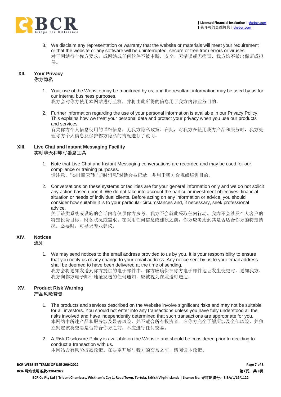

3. We disclaim any representation or warranty that the website or materials will meet your requirement or that the website or any software will be uninterrupted, secure or free from errors or viruses. 对于网站符合你方要求,或网站或任何软件不被中断,安全、无错误或无病毒,我方均不做出保证或担 保。

#### **XII. Your Privacy** 你方隐私

1. Your use of the Website may be monitored by us, and the resultant information may be used by us for our internal business purposes.

我方会对你方使用本网站进行监测,并将由此所得的信息用于我方内部业务目的。

2. Further information regarding the use of your personal information is available in our Privacy Policy. This explains how we treat your personal data and protect your privacy when you use our products and services.

有关你方个人信息使用的详细信息,见我方隐私政策。在此,对我方在使用我方产品和服务时,我方处 理你方个人信息及保护你方隐私的情况进行了说明。

## **XIII. Live Chat and Instant Messaging Facility** 实时聊天和即时消息工具

- 1. Note that Live Chat and Instant Messaging conversations are recorded and may be used for our compliance or training purposes. 请注意,"实时聊天"和"即时消息"对话会被记录,并用于我方合规或培训目的。
- 2. Conversations on these systems or facilities are for your general information only and we do not solicit any action based upon it. We do not take into account the particular investment objectives, financial situation or needs of individual clients. Before acting on any information or advice, you should consider how suitable it is to your particular circumstances and, if necessary, seek professional advice.

关于该类系统或设施的会话内容仅供你方参考。我方不会就此采取任何行动。我方不会涉及个人客户的 特定投资目标、财务状况或需求。在采用任何信息或建议之前,你方应考虑到其是否适合你方的特定情 况。必要时,可寻求专业建议。

### **XIV. Notices** 通知

1. We may send notices to the email address provided to us by you. It is your responsibility to ensure that you notify us of any change to your email address. Any notice sent by us to your email address shall be deemed to have been delivered at the time of sending. 我方会将通知发送到你方提供的电子邮件中。你方应确保在你方电子邮件地址发生变更时,通知我方。 我方向你方电子邮件地址发送的任何通知,应被视为在发送时送达。

#### **XV. Product Risk Warning** 产品风险警告

- 1. The products and services described on the Website involve significant risks and may not be suitable for all investors. You should not enter into any transactions unless you have fully understood all the risks involved and have independently determined that such transactions are appropriate for you. 本网站中所述产品和服务涉及显著风险,并不适合所有投资者。在你方完全了解所涉及全部风险,并独 立判定该类交易是否符合你方之前,不应进行任何交易。
- 2. A Risk Disclosure Policy is available on the Website and should be considered prior to deciding to conduct a transaction with us. 本网站含有风险披露政策。在决定开展与我方的交易之前,请阅读本政策。

**BCR-WEBSITE TERMS OF USE-29042022 Page 7 of 8**

**BCR-**网站使用条款**-29042022** 第**7**页,共 **8**页